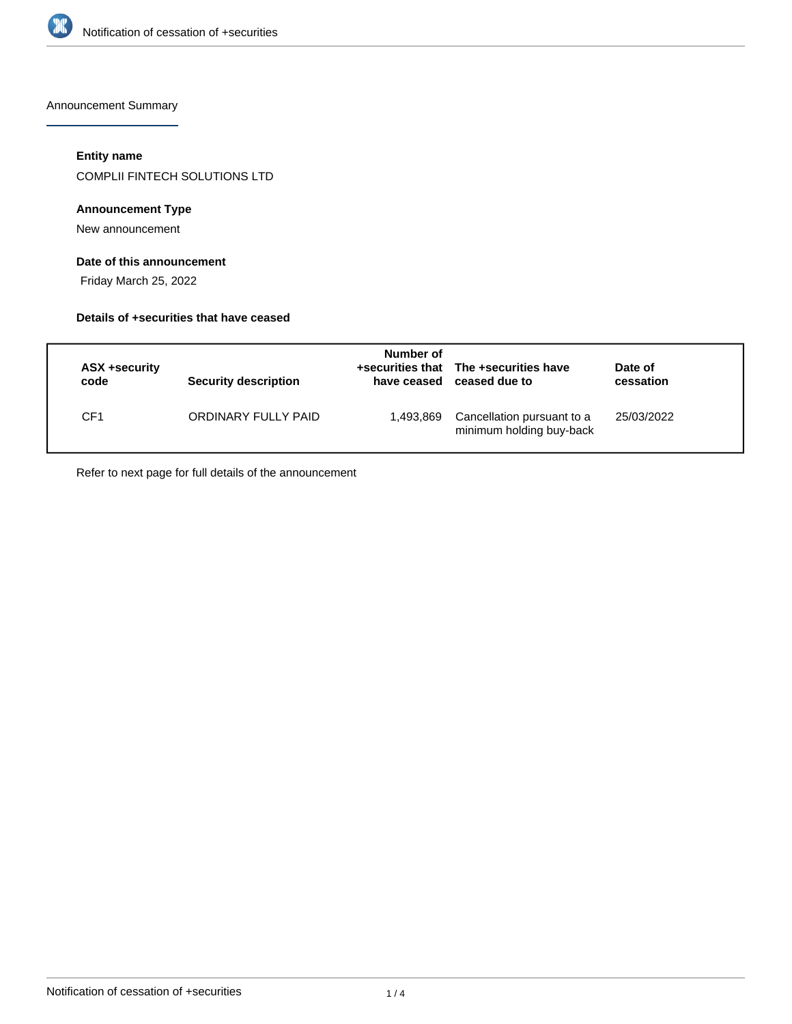

Announcement Summary

#### **Entity name**

COMPLII FINTECH SOLUTIONS LTD

#### **Announcement Type**

New announcement

#### **Date of this announcement**

Friday March 25, 2022

#### **Details of +securities that have ceased**

| ASX +security<br>code | <b>Security description</b> | Number of<br>have ceased | +securities that The +securities have<br>ceased due to | Date of<br>cessation |  |
|-----------------------|-----------------------------|--------------------------|--------------------------------------------------------|----------------------|--|
| CF1                   | ORDINARY FULLY PAID         | 1,493,869                | Cancellation pursuant to a<br>minimum holding buy-back | 25/03/2022           |  |

Refer to next page for full details of the announcement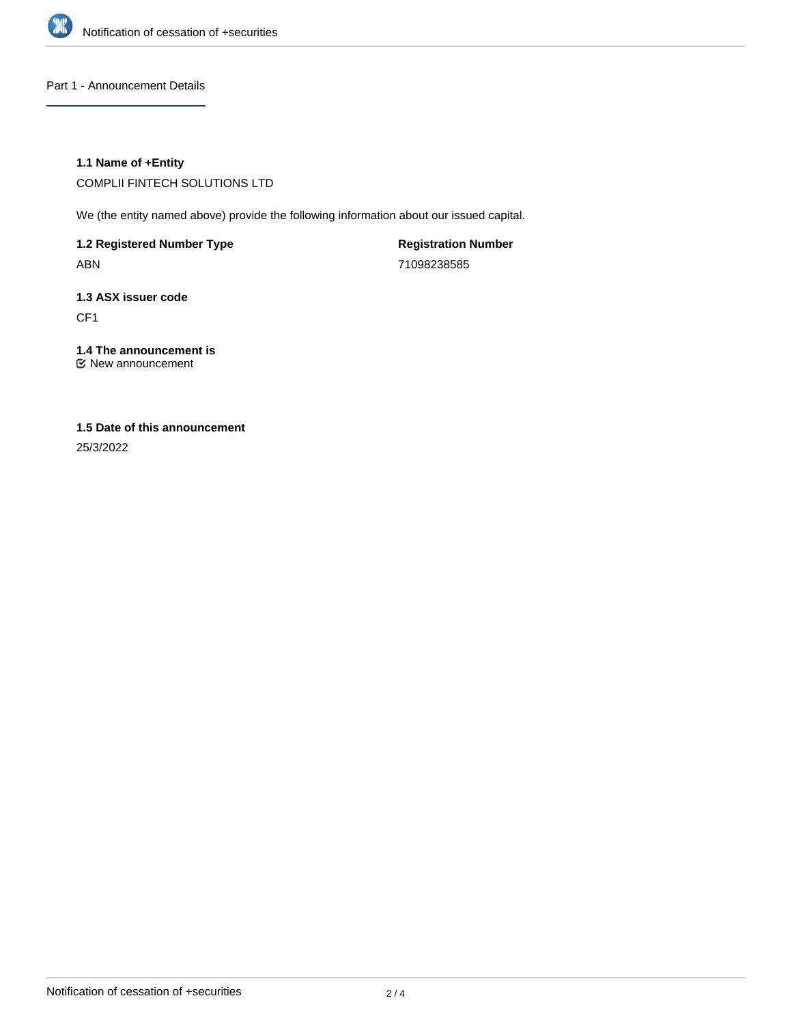

Part 1 - Announcement Details

#### **1.1 Name of +Entity**

COMPLII FINTECH SOLUTIONS LTD

We (the entity named above) provide the following information about our issued capital.

**1.2 Registered Number Type** ABN

**Registration Number** 71098238585

**1.3 ASX issuer code** CF1

**1.4 The announcement is** New announcement

## **1.5 Date of this announcement**

25/3/2022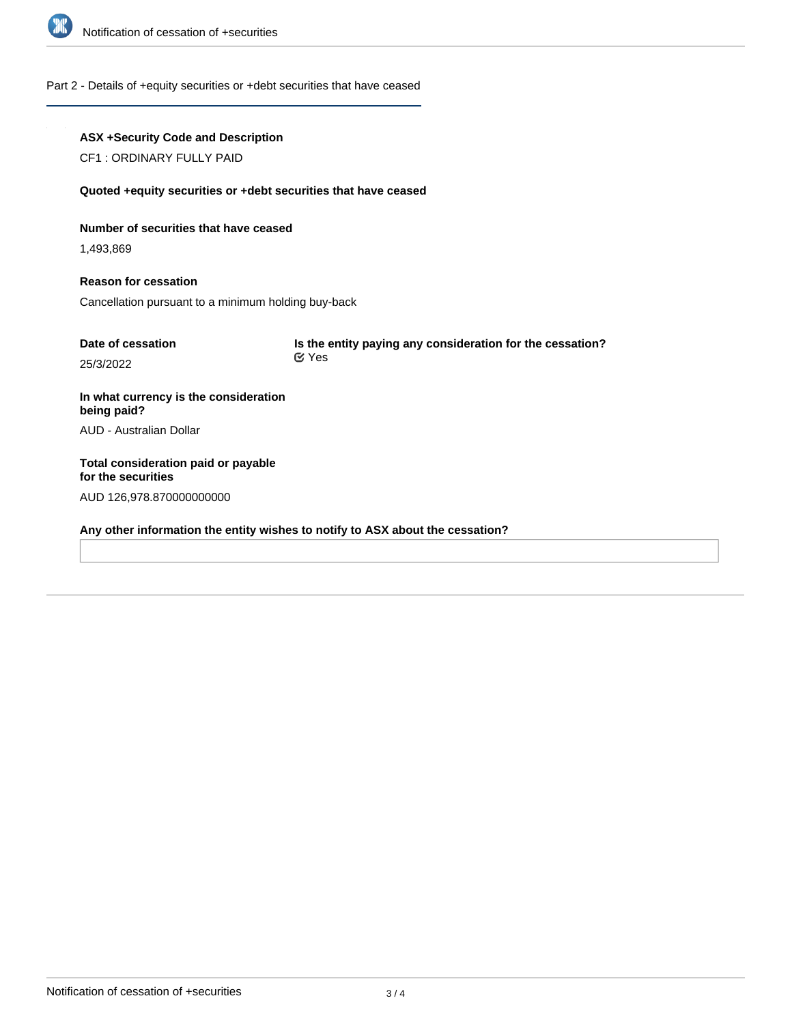

#### Part 2 - Details of +equity securities or +debt securities that have ceased

# **ASX +Security Code and Description** CF1 : ORDINARY FULLY PAID **Quoted +equity securities or +debt securities that have ceased**

### **Number of securities that have ceased**

1,493,869

# **Reason for cessation**

Cancellation pursuant to a minimum holding buy-back

| Date of cessation | Is the entity paying any consideration for the cessation? |  |
|-------------------|-----------------------------------------------------------|--|
| 25/3/2022         | <b>⊠ Yes</b>                                              |  |
|                   |                                                           |  |

**In what currency is the consideration being paid?** AUD - Australian Dollar

**Total consideration paid or payable for the securities** AUD 126,978.870000000000

**Any other information the entity wishes to notify to ASX about the cessation?**